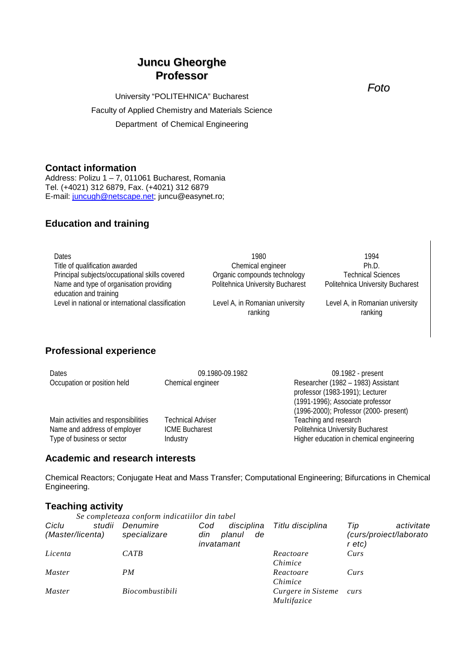# **Juncu Gheorghe Professor**

University "POLITEHNICA" Bucharest Faculty of Applied Chemistry and Materials Science Department of Chemical Engineering

## **Contact information**

Address: Polizu 1 – 7, 011061 Bucharest, Romania Tel. (+4021) 312 6879, Fax. (+4021) 312 6879 E-mail: [juncugh@netscape.net;](mailto:juncugh@netscape.net) juncu@easynet.ro;

## **Education and training**

| Dates                                             | 1980                             | 1994                             |
|---------------------------------------------------|----------------------------------|----------------------------------|
| Title of qualification awarded                    | Chemical engineer                | Ph.D.                            |
| Principal subjects/occupational skills covered    | Organic compounds technology     | <b>Technical Sciences</b>        |
| Name and type of organisation providing           | Politehnica University Bucharest | Politehnica University Bucharest |
| education and training                            |                                  |                                  |
| Level in national or international classification | Level A, in Romanian university  | Level A, in Romanian university  |
|                                                   | ranking                          | ranking                          |

## **Professional experience**

| <b>Dates</b>                         | 09.1980-09.1982          | 09.1982 - present                        |
|--------------------------------------|--------------------------|------------------------------------------|
| Occupation or position held          | Chemical engineer        | Researcher (1982 - 1983) Assistant       |
|                                      |                          | professor (1983-1991); Lecturer          |
|                                      |                          | (1991-1996); Associate professor         |
|                                      |                          | (1996-2000); Professor (2000- present)   |
| Main activities and responsibilities | <b>Technical Adviser</b> | Teaching and research                    |
| Name and address of employer         | <b>ICME Bucharest</b>    | Politehnica University Bucharest         |
| Type of business or sector           | Industry                 | Higher education in chemical engineering |

## **Academic and research interests**

Chemical Reactors; Conjugate Heat and Mass Transfer; Computational Engineering; Bifurcations in Chemical Engineering.

# **Teaching activity**

|                  | Se completeaza conform indicatiilor din tabel |                                   |                    |                                  |
|------------------|-----------------------------------------------|-----------------------------------|--------------------|----------------------------------|
| Ciclu<br>studii  | Denumire                                      | disciplina<br>Cod                 | Titlu disciplina   | activitate<br>Tip                |
| (Master/licenta) | specializare                                  | din<br>planul<br>de<br>invatamant |                    | (curs/proiect/laborato<br>r etc) |
| Licenta          | CATB                                          |                                   | Reactoare          | Curs                             |
|                  |                                               |                                   | Chimice            |                                  |
| Master           | PM                                            |                                   | Reactoare          | Curs                             |
|                  |                                               |                                   | Chimice            |                                  |
| Master           | Biocombustibili                               |                                   | Curgere in Sisteme | curs                             |
|                  |                                               |                                   | Multifazice        |                                  |

*Foto*